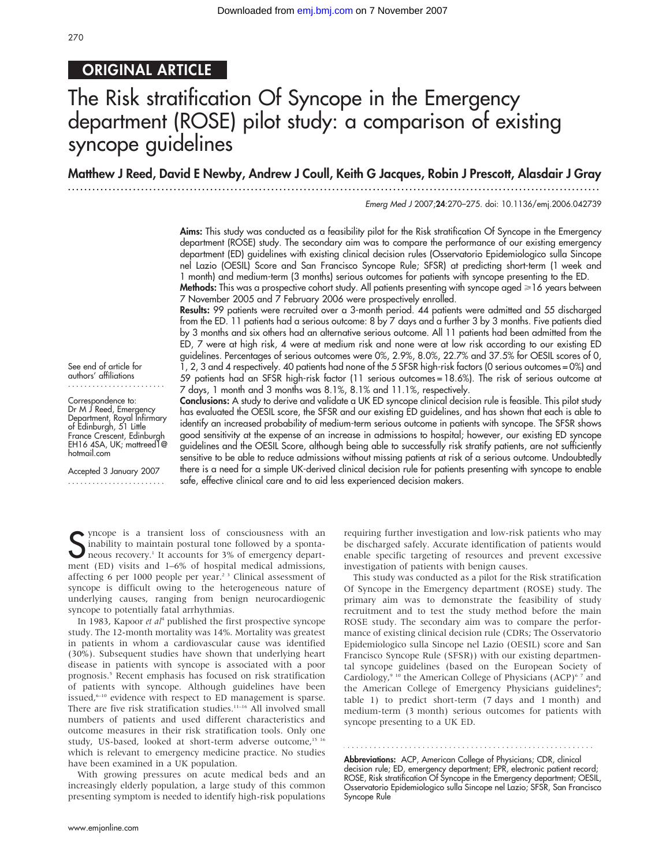# ORIGINAL ARTICLE

# The Risk stratification Of Syncope in the Emergency department (ROSE) pilot study: a comparison of existing syncope guidelines

Matthew J Reed, David E Newby, Andrew J Coull, Keith G Jacques, Robin J Prescott, Alasdair J Gray

............................................................... ............................................................... .....

Emerg Med J 2007;24:270–275. doi: 10.1136/emj.2006.042739

Aims: This study was conducted as a feasibility pilot for the Risk stratification Of Syncope in the Emergency department (ROSE) study. The secondary aim was to compare the performance of our existing emergency department (ED) guidelines with existing clinical decision rules (Osservatorio Epidemiologico sulla Sincope nel Lazio (OESIL) Score and San Francisco Syncope Rule; SFSR) at predicting short-term (1 week and 1 month) and medium-term (3 months) serious outcomes for patients with syncope presenting to the ED. **Methods:** This was a prospective cohort study. All patients presenting with syncope aged  $\geq 16$  years between

7 November 2005 and 7 February 2006 were prospectively enrolled. Results: 99 patients were recruited over a 3-month period. 44 patients were admitted and 55 discharged

from the ED. 11 patients had a serious outcome: 8 by 7 days and a further 3 by 3 months. Five patients died by 3 months and six others had an alternative serious outcome. All 11 patients had been admitted from the ED, 7 were at high risk, 4 were at medium risk and none were at low risk according to our existing ED guidelines. Percentages of serious outcomes were 0%, 2.9%, 8.0%, 22.7% and 37.5% for OESIL scores of 0, 1, 2, 3 and 4 respectively. 40 patients had none of the 5 SFSR high-risk factors (0 serious outcomes = 0%) and 59 patients had an SFSR high-risk factor (11 serious outcomes = 18.6%). The risk of serious outcome at 7 days, 1 month and 3 months was 8.1%, 8.1% and 11.1%, respectively.

Conclusions: A study to derive and validate a UK ED syncope clinical decision rule is feasible. This pilot study has evaluated the OESIL score, the SFSR and our existing ED guidelines, and has shown that each is able to identify an increased probability of medium-term serious outcome in patients with syncope. The SFSR shows good sensitivity at the expense of an increase in admissions to hospital; however, our existing ED syncope guidelines and the OESIL Score, although being able to successfully risk stratify patients, are not sufficiently sensitive to be able to reduce admissions without missing patients at risk of a serious outcome. Undoubtedly there is a need for a simple UK-derived clinical decision rule for patients presenting with syncope to enable safe, effective clinical care and to aid less experienced decision makers.

See end of article for authors' affiliations ........................

Correspondence to: Dr M J Reed, Emergency Department, Royal Infirmary of Edinburgh, 51 Little France Crescent, Edinburgh EH16 4SA, UK; mattreed1@ hotmail.com

Accepted 3 January 2007 ........................

S yncope is a transient loss of consciousness with an inability to maintain postural tone followed by a sponta-<br>neous recovery.<sup>1</sup> It accounts for 3% of emergency depart-<br>ment (ED) visits and 1.6% of bomital modical educat yncope is a transient loss of consciousness with an inability to maintain postural tone followed by a spontament (ED) visits and 1–6% of hospital medical admissions, affecting 6 per 1000 people per year.<sup>23</sup> Clinical assessment of syncope is difficult owing to the heterogeneous nature of underlying causes, ranging from benign neurocardiogenic syncope to potentially fatal arrhythmias.

In 1983, Kapoor et  $al<sup>4</sup>$  published the first prospective syncope study. The 12-month mortality was 14%. Mortality was greatest in patients in whom a cardiovascular cause was identified (30%). Subsequent studies have shown that underlying heart disease in patients with syncope is associated with a poor prognosis.5 Recent emphasis has focused on risk stratification of patients with syncope. Although guidelines have been issued,<sup>6-10</sup> evidence with respect to ED management is sparse. There are five risk stratification studies.<sup>11-16</sup> All involved small numbers of patients and used different characteristics and outcome measures in their risk stratification tools. Only one study, US-based, looked at short-term adverse outcome,<sup>15 16</sup> which is relevant to emergency medicine practice. No studies have been examined in a UK population.

With growing pressures on acute medical beds and an increasingly elderly population, a large study of this common presenting symptom is needed to identify high-risk populations

requiring further investigation and low-risk patients who may be discharged safely. Accurate identification of patients would enable specific targeting of resources and prevent excessive investigation of patients with benign causes.

This study was conducted as a pilot for the Risk stratification Of Syncope in the Emergency department (ROSE) study. The primary aim was to demonstrate the feasibility of study recruitment and to test the study method before the main ROSE study. The secondary aim was to compare the performance of existing clinical decision rule (CDRs; The Osservatorio Epidemiologico sulla Sincope nel Lazio (OESIL) score and San Francisco Syncope Rule (SFSR)) with our existing departmental syncope guidelines (based on the European Society of Cardiology,<sup>9 10</sup> the American College of Physicians (ACP)<sup>67</sup> and the American College of Emergency Physicians guidelines<sup>8</sup>; table 1) to predict short-term (7 days and 1 month) and medium-term (3 month) serious outcomes for patients with syncope presenting to a UK ED.

Abbreviations: ACP, American College of Physicians; CDR, clinical decision rule; ED, emergency department; EPR, electronic patient record; ROSE, Risk stratification Of Syncope in the Emergency department; OESIL, Osservatorio Epidemiologico sulla Sincope nel Lazio; SFSR, San Francisco Syncope Rule

270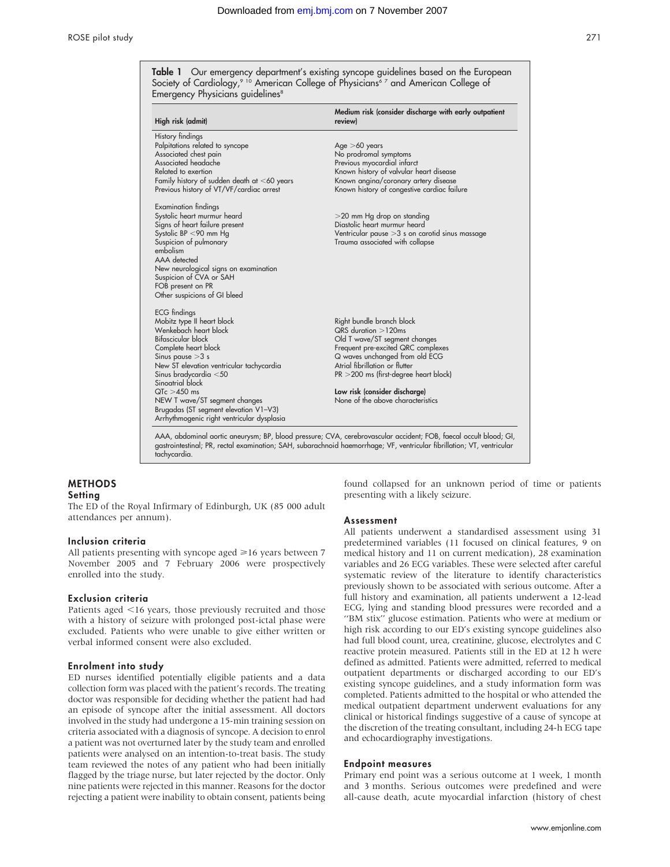| High risk (admit)                                   | Medium risk (consider discharge with early outpatient<br>review)    |  |  |  |
|-----------------------------------------------------|---------------------------------------------------------------------|--|--|--|
| History findings                                    |                                                                     |  |  |  |
| Palpitations related to syncope                     | Age $>60$ years                                                     |  |  |  |
| Associated chest pain                               | No prodromal symptoms                                               |  |  |  |
| Associated headache                                 | Previous myocardial infarct                                         |  |  |  |
| Related to exertion                                 | Known history of valvular heart disease                             |  |  |  |
| Family history of sudden death at $<$ 60 years      | Known angina/coronary artery disease                                |  |  |  |
| Previous history of VT/VF/cardiac arrest            | Known history of congestive cardiac failure                         |  |  |  |
| <b>Examination findings</b>                         |                                                                     |  |  |  |
| Systolic heart murmur heard                         | $>$ 20 mm Hg drop on standing                                       |  |  |  |
| Signs of heart failure present                      | Diastolic heart murmur heard                                        |  |  |  |
| Systolic BP <90 mm Hg                               | Ventricular pause $>3$ s on carotid sinus massage                   |  |  |  |
| Suspicion of pulmonary                              | Trauma associated with collapse                                     |  |  |  |
| embolism                                            |                                                                     |  |  |  |
| AAA detected                                        |                                                                     |  |  |  |
| New neurological signs on examination               |                                                                     |  |  |  |
| Suspicion of CVA or SAH                             |                                                                     |  |  |  |
| FOB present on PR<br>Other suspicions of GI bleed   |                                                                     |  |  |  |
|                                                     |                                                                     |  |  |  |
| <b>ECG</b> findings                                 |                                                                     |  |  |  |
| Mobitz type II heart block<br>Wenkebach heart block | Right bundle branch block<br>$QRS$ duration $>120$ ms               |  |  |  |
| Bifascicular block                                  |                                                                     |  |  |  |
| Complete heart block                                | Old T wave/ST segment changes<br>Frequent pre-excited QRC complexes |  |  |  |
| Sinus pause $>3$ s                                  | Q waves unchanged from old ECG                                      |  |  |  |
| New ST elevation ventricular tachycardia            | Atrial fibrillation or flutter                                      |  |  |  |
| Sinus bradycardia $<$ 50                            | $PR > 200$ ms (first-degree heart block)                            |  |  |  |
| Sinoatrial block                                    |                                                                     |  |  |  |
| $QTc > 450$ ms                                      | Low risk (consider discharge)                                       |  |  |  |
| NEW T wave/ST segment changes                       | None of the above characteristics                                   |  |  |  |
| Brugadas (ST segment elevation V1-V3)               |                                                                     |  |  |  |
| Arrhythmogenic right ventricular dysplasia          |                                                                     |  |  |  |

AAA, abdominal aortic aneurysm; BP, blood pressure; CVA, cerebrovascular accident; FOB, faecal occult blood; GI, gastrointestinal; PR, rectal examination; SAH, subarachnoid haemorrhage; VF, ventricular fibrillation; VT, ventricular tachycardia.

# METHODS

**Setting** 

The ED of the Royal Infirmary of Edinburgh, UK (85 000 adult attendances per annum).

#### Inclusion criteria

All patients presenting with syncope aged  $\geq 16$  years between 7 November 2005 and 7 February 2006 were prospectively enrolled into the study.

#### Exclusion criteria

Patients aged <16 years, those previously recruited and those with a history of seizure with prolonged post-ictal phase were excluded. Patients who were unable to give either written or verbal informed consent were also excluded.

#### Enrolment into study

ED nurses identified potentially eligible patients and a data collection form was placed with the patient's records. The treating doctor was responsible for deciding whether the patient had had an episode of syncope after the initial assessment. All doctors involved in the study had undergone a 15-min training session on criteria associated with a diagnosis of syncope. A decision to enrol a patient was not overturned later by the study team and enrolled patients were analysed on an intention-to-treat basis. The study team reviewed the notes of any patient who had been initially flagged by the triage nurse, but later rejected by the doctor. Only nine patients were rejected in this manner. Reasons for the doctor rejecting a patient were inability to obtain consent, patients being

found collapsed for an unknown period of time or patients presenting with a likely seizure.

#### Assessment

All patients underwent a standardised assessment using 31 predetermined variables (11 focused on clinical features, 9 on medical history and 11 on current medication), 28 examination variables and 26 ECG variables. These were selected after careful systematic review of the literature to identify characteristics previously shown to be associated with serious outcome. After a full history and examination, all patients underwent a 12-lead ECG, lying and standing blood pressures were recorded and a ''BM stix'' glucose estimation. Patients who were at medium or high risk according to our ED's existing syncope guidelines also had full blood count, urea, creatinine, glucose, electrolytes and C reactive protein measured. Patients still in the ED at 12 h were defined as admitted. Patients were admitted, referred to medical outpatient departments or discharged according to our ED's existing syncope guidelines, and a study information form was completed. Patients admitted to the hospital or who attended the medical outpatient department underwent evaluations for any clinical or historical findings suggestive of a cause of syncope at the discretion of the treating consultant, including 24-h ECG tape and echocardiography investigations.

#### Endpoint measures

Primary end point was a serious outcome at 1 week, 1 month and 3 months. Serious outcomes were predefined and were all-cause death, acute myocardial infarction (history of chest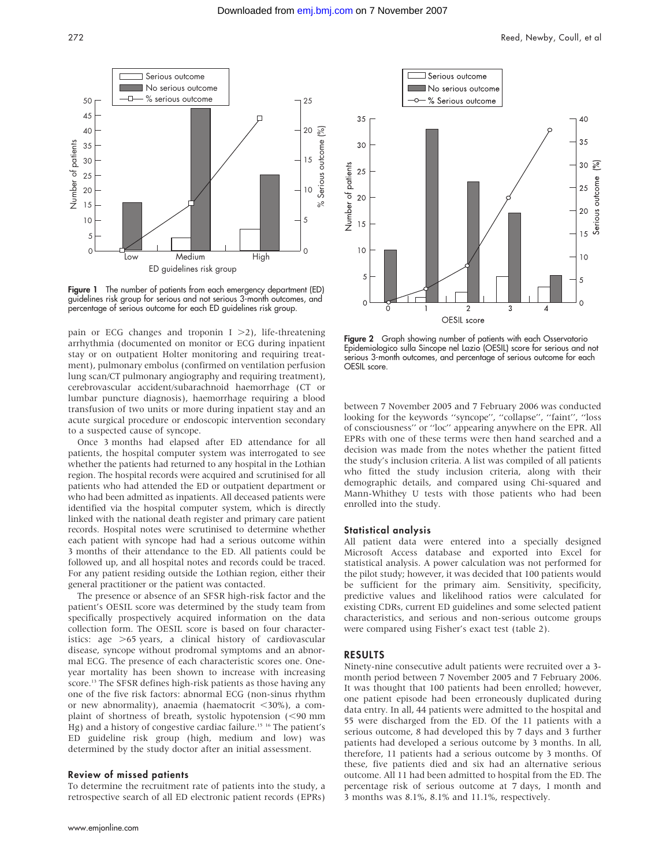

Figure 1 The number of patients from each emergency department (ED) guidelines risk group for serious and not serious 3-month outcomes, and percentage of serious outcome for each ED guidelines risk group.

pain or ECG changes and troponin  $I >2$ ), life-threatening arrhythmia (documented on monitor or ECG during inpatient stay or on outpatient Holter monitoring and requiring treatment), pulmonary embolus (confirmed on ventilation perfusion lung scan/CT pulmonary angiography and requiring treatment), cerebrovascular accident/subarachnoid haemorrhage (CT or lumbar puncture diagnosis), haemorrhage requiring a blood transfusion of two units or more during inpatient stay and an acute surgical procedure or endoscopic intervention secondary to a suspected cause of syncope.

Once 3 months had elapsed after ED attendance for all patients, the hospital computer system was interrogated to see whether the patients had returned to any hospital in the Lothian region. The hospital records were acquired and scrutinised for all patients who had attended the ED or outpatient department or who had been admitted as inpatients. All deceased patients were identified via the hospital computer system, which is directly linked with the national death register and primary care patient records. Hospital notes were scrutinised to determine whether each patient with syncope had had a serious outcome within 3 months of their attendance to the ED. All patients could be followed up, and all hospital notes and records could be traced. For any patient residing outside the Lothian region, either their general practitioner or the patient was contacted.

The presence or absence of an SFSR high-risk factor and the patient's OESIL score was determined by the study team from specifically prospectively acquired information on the data collection form. The OESIL score is based on four characteristics: age  $>65$  years, a clinical history of cardiovascular disease, syncope without prodromal symptoms and an abnormal ECG. The presence of each characteristic scores one. Oneyear mortality has been shown to increase with increasing score.<sup>13</sup> The SFSR defines high-risk patients as those having any one of the five risk factors: abnormal ECG (non-sinus rhythm or new abnormality), anaemia (haematocrit  $\langle 30\%$ ), a complaint of shortness of breath, systolic hypotension  $(< 90$  mm Hg) and a history of congestive cardiac failure.<sup>15 16</sup> The patient's ED guideline risk group (high, medium and low) was determined by the study doctor after an initial assessment.

#### Review of missed patients

To determine the recruitment rate of patients into the study, a retrospective search of all ED electronic patient records (EPRs)



Figure 2 Graph showing number of patients with each Osservatorio Epidemiologico sulla Sincope nel Lazio (OESIL) score for serious and not serious 3-month outcomes, and percentage of serious outcome for each OESIL score.

between 7 November 2005 and 7 February 2006 was conducted looking for the keywords ''syncope'', ''collapse'', ''faint'', ''loss of consciousness'' or ''loc'' appearing anywhere on the EPR. All EPRs with one of these terms were then hand searched and a decision was made from the notes whether the patient fitted the study's inclusion criteria. A list was compiled of all patients who fitted the study inclusion criteria, along with their demographic details, and compared using Chi-squared and Mann-Whithey U tests with those patients who had been enrolled into the study.

#### Statistical analysis

All patient data were entered into a specially designed Microsoft Access database and exported into Excel for statistical analysis. A power calculation was not performed for the pilot study; however, it was decided that 100 patients would be sufficient for the primary aim. Sensitivity, specificity, predictive values and likelihood ratios were calculated for existing CDRs, current ED guidelines and some selected patient characteristics, and serious and non-serious outcome groups were compared using Fisher's exact test (table 2).

#### RESULTS

Ninety-nine consecutive adult patients were recruited over a 3 month period between 7 November 2005 and 7 February 2006. It was thought that 100 patients had been enrolled; however, one patient episode had been erroneously duplicated during data entry. In all, 44 patients were admitted to the hospital and 55 were discharged from the ED. Of the 11 patients with a serious outcome, 8 had developed this by 7 days and 3 further patients had developed a serious outcome by 3 months. In all, therefore, 11 patients had a serious outcome by 3 months. Of these, five patients died and six had an alternative serious outcome. All 11 had been admitted to hospital from the ED. The percentage risk of serious outcome at 7 days, 1 month and 3 months was 8.1%, 8.1% and 11.1%, respectively.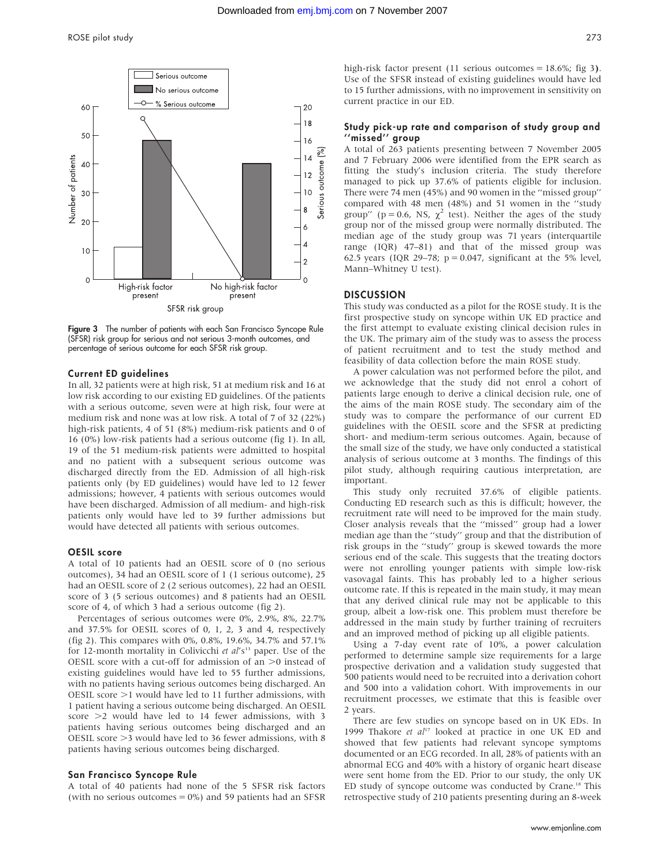

Figure 3 The number of patients with each San Francisco Syncope Rule (SFSR) risk group for serious and not serious 3-month outcomes, and percentage of serious outcome for each SFSR risk group.

#### Current ED guidelines

In all, 32 patients were at high risk, 51 at medium risk and 16 at low risk according to our existing ED guidelines. Of the patients with a serious outcome, seven were at high risk, four were at medium risk and none was at low risk. A total of 7 of 32 (22%) high-risk patients, 4 of 51 (8%) medium-risk patients and 0 of 16 (0%) low-risk patients had a serious outcome (fig 1). In all, 19 of the 51 medium-risk patients were admitted to hospital and no patient with a subsequent serious outcome was discharged directly from the ED. Admission of all high-risk patients only (by ED guidelines) would have led to 12 fewer admissions; however, 4 patients with serious outcomes would have been discharged. Admission of all medium- and high-risk patients only would have led to 39 further admissions but would have detected all patients with serious outcomes.

#### OESIL score

A total of 10 patients had an OESIL score of 0 (no serious outcomes), 34 had an OESIL score of 1 (1 serious outcome), 25 had an OESIL score of 2 (2 serious outcomes), 22 had an OESIL score of 3 (5 serious outcomes) and 8 patients had an OESIL score of 4, of which 3 had a serious outcome (fig 2).

Percentages of serious outcomes were 0%, 2.9%, 8%, 22.7% and 37.5% for OESIL scores of 0, 1, 2, 3 and 4, respectively (fig 2). This compares with 0%, 0.8%, 19.6%, 34.7% and 57.1% for 12-month mortality in Colivicchi et al's<sup>13</sup> paper. Use of the OESIL score with a cut-off for admission of an  $>0$  instead of existing guidelines would have led to 55 further admissions, with no patients having serious outcomes being discharged. An OESIL score  $>1$  would have led to 11 further admissions, with 1 patient having a serious outcome being discharged. An OESIL score  $>2$  would have led to 14 fewer admissions, with 3 patients having serious outcomes being discharged and an OESIL score  $>3$  would have led to 36 fewer admissions, with 8 patients having serious outcomes being discharged.

### San Francisco Syncope Rule

A total of 40 patients had none of the 5 SFSR risk factors (with no serious outcomes  $= 0\%$ ) and 59 patients had an SFSR

high-risk factor present (11 serious outcomes = 18.6%; fig 3). Use of the SFSR instead of existing guidelines would have led to 15 further admissions, with no improvement in sensitivity on current practice in our ED.

## Study pick-up rate and comparison of study group and ''missed'' group

A total of 263 patients presenting between 7 November 2005 and 7 February 2006 were identified from the EPR search as fitting the study's inclusion criteria. The study therefore managed to pick up 37.6% of patients eligible for inclusion. There were 74 men (45%) and 90 women in the ''missed group'' compared with 48 men (48%) and 51 women in the ''study group'' (p = 0.6, NS,  $\chi^2$  test). Neither the ages of the study group nor of the missed group were normally distributed. The median age of the study group was 71 years (interquartile range (IQR) 47–81) and that of the missed group was 62.5 years (IQR 29-78;  $p = 0.047$ , significant at the 5% level, Mann–Whitney U test).

#### **DISCUSSION**

This study was conducted as a pilot for the ROSE study. It is the first prospective study on syncope within UK ED practice and the first attempt to evaluate existing clinical decision rules in the UK. The primary aim of the study was to assess the process of patient recruitment and to test the study method and feasibility of data collection before the main ROSE study.

A power calculation was not performed before the pilot, and we acknowledge that the study did not enrol a cohort of patients large enough to derive a clinical decision rule, one of the aims of the main ROSE study. The secondary aim of the study was to compare the performance of our current ED guidelines with the OESIL score and the SFSR at predicting short- and medium-term serious outcomes. Again, because of the small size of the study, we have only conducted a statistical analysis of serious outcome at 3 months. The findings of this pilot study, although requiring cautious interpretation, are important.

This study only recruited 37.6% of eligible patients. Conducting ED research such as this is difficult; however, the recruitment rate will need to be improved for the main study. Closer analysis reveals that the ''missed'' group had a lower median age than the ''study'' group and that the distribution of risk groups in the ''study'' group is skewed towards the more serious end of the scale. This suggests that the treating doctors were not enrolling younger patients with simple low-risk vasovagal faints. This has probably led to a higher serious outcome rate. If this is repeated in the main study, it may mean that any derived clinical rule may not be applicable to this group, albeit a low-risk one. This problem must therefore be addressed in the main study by further training of recruiters and an improved method of picking up all eligible patients.

Using a 7-day event rate of 10%, a power calculation performed to determine sample size requirements for a large prospective derivation and a validation study suggested that 500 patients would need to be recruited into a derivation cohort and 500 into a validation cohort. With improvements in our recruitment processes, we estimate that this is feasible over 2 years.

There are few studies on syncope based on in UK EDs. In 1999 Thakore et al<sup>17</sup> looked at practice in one UK ED and showed that few patients had relevant syncope symptoms documented or an ECG recorded. In all, 28% of patients with an abnormal ECG and 40% with a history of organic heart disease were sent home from the ED. Prior to our study, the only UK ED study of syncope outcome was conducted by Crane.18 This retrospective study of 210 patients presenting during an 8-week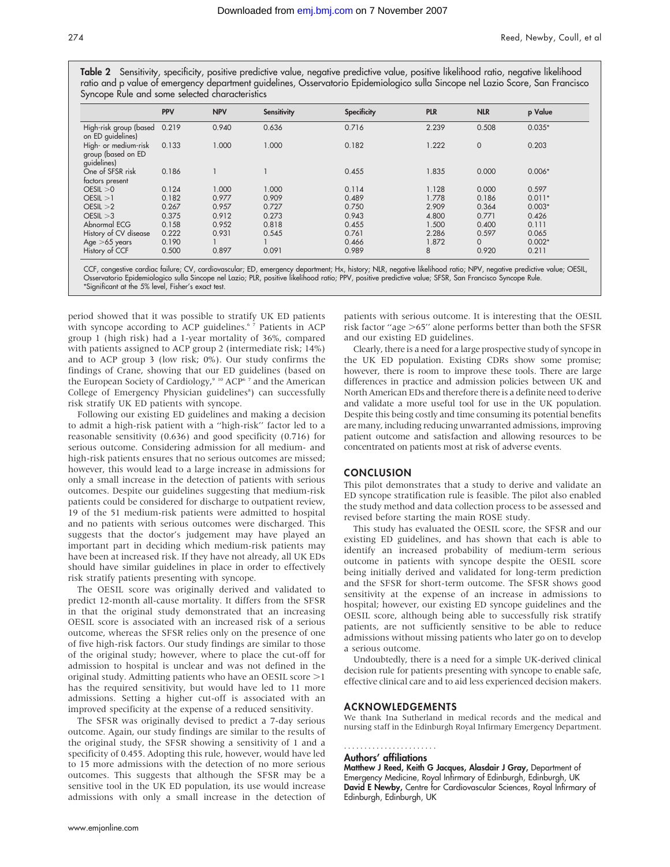Table 2 Sensitivity, specificity, positive predictive value, negative predictive value, positive likelihood ratio, negative likelihood ratio and p value of emergency department guidelines, Osservatorio Epidemiologico sulla Sincope nel Lazio Score, San Francisco Syncope Rule and some selected characteristics

|                                                           | <b>PPV</b> | <b>NPV</b> | <b>Sensitivity</b> | <b>Specificity</b> | <b>PLR</b> | <b>NLR</b>  | p Value  |
|-----------------------------------------------------------|------------|------------|--------------------|--------------------|------------|-------------|----------|
| High-risk group (based 0.219<br>on ED guidelines)         |            | 0.940      | 0.636              | 0.716              | 2.239      | 0.508       | $0.035*$ |
| High- or medium-risk<br>group (based on ED<br>guidelines) | 0.133      | 1.000      | 1.000              | 0.182              | 1.222      | $\mathbf 0$ | 0.203    |
| One of SFSR risk<br>factors present                       | 0.186      |            |                    | 0.455              | 1.835      | 0.000       | $0.006*$ |
| OESIL > 0                                                 | 0.124      | 1.000      | 1.000              | 0.114              | 1.128      | 0.000       | 0.597    |
| OESIL > 1                                                 | 0.182      | 0.977      | 0.909              | 0.489              | 1.778      | 0.186       | $0.011*$ |
| OESIL > 2                                                 | 0.267      | 0.957      | 0.727              | 0.750              | 2.909      | 0.364       | $0.003*$ |
| OESIL > 3                                                 | 0.375      | 0.912      | 0.273              | 0.943              | 4.800      | 0.771       | 0.426    |
| Abnormal ECG                                              | 0.158      | 0.952      | 0.818              | 0.455              | 1.500      | 0.400       | 0.111    |
| History of CV disease                                     | 0.222      | 0.931      | 0.545              | 0.761              | 2.286      | 0.597       | 0.065    |
| Age $>65$ years                                           | 0.190      |            |                    | 0.466              | 1.872      | $\Omega$    | $0.002*$ |
| History of CCF                                            | 0.500      | 0.897      | 0.091              | 0.989              | 8          | 0.920       | 0.211    |

CCF, congestive cardiac failure; CV, cardiovascular; ED, emergency department; Hx, history; NLR, negative likelihood ratio; NPV, negative predictive value; OESIL, Osservatorio Epidemiologico sulla Sincope nel Lazio; PLR, positive likelihood ratio; PPV, positive predictive value; SFSR, San Francisco Syncope Rule. \*Significant at the 5% level, Fisher's exact test.

period showed that it was possible to stratify UK ED patients with syncope according to ACP guidelines.<sup>67</sup> Patients in ACP group 1 (high risk) had a 1-year mortality of 36%, compared with patients assigned to ACP group 2 (intermediate risk; 14%) and to ACP group 3 (low risk; 0%). Our study confirms the findings of Crane, showing that our ED guidelines (based on the European Society of Cardiology,<sup>9 10</sup> ACP<sup>6 7</sup> and the American College of Emergency Physician guidelines<sup>8</sup>) can successfully risk stratify UK ED patients with syncope.

Following our existing ED guidelines and making a decision to admit a high-risk patient with a ''high-risk'' factor led to a reasonable sensitivity (0.636) and good specificity (0.716) for serious outcome. Considering admission for all medium- and high-risk patients ensures that no serious outcomes are missed; however, this would lead to a large increase in admissions for only a small increase in the detection of patients with serious outcomes. Despite our guidelines suggesting that medium-risk patients could be considered for discharge to outpatient review, 19 of the 51 medium-risk patients were admitted to hospital and no patients with serious outcomes were discharged. This suggests that the doctor's judgement may have played an important part in deciding which medium-risk patients may have been at increased risk. If they have not already, all UK EDs should have similar guidelines in place in order to effectively risk stratify patients presenting with syncope.

The OESIL score was originally derived and validated to predict 12-month all-cause mortality. It differs from the SFSR in that the original study demonstrated that an increasing OESIL score is associated with an increased risk of a serious outcome, whereas the SFSR relies only on the presence of one of five high-risk factors. Our study findings are similar to those of the original study; however, where to place the cut-off for admission to hospital is unclear and was not defined in the original study. Admitting patients who have an OESIL score  $>1$ has the required sensitivity, but would have led to 11 more admissions. Setting a higher cut-off is associated with an improved specificity at the expense of a reduced sensitivity.

The SFSR was originally devised to predict a 7-day serious outcome. Again, our study findings are similar to the results of the original study, the SFSR showing a sensitivity of 1 and a specificity of 0.455. Adopting this rule, however, would have led to 15 more admissions with the detection of no more serious outcomes. This suggests that although the SFSR may be a sensitive tool in the UK ED population, its use would increase admissions with only a small increase in the detection of

patients with serious outcome. It is interesting that the OESIL risk factor "age  $>65$ " alone performs better than both the SFSR and our existing ED guidelines.

Clearly, there is a need for a large prospective study of syncope in the UK ED population. Existing CDRs show some promise; however, there is room to improve these tools. There are large differences in practice and admission policies between UK and North American EDs and therefore there is a definite need to derive and validate a more useful tool for use in the UK population. Despite this being costly and time consuming its potential benefits are many, including reducing unwarranted admissions, improving patient outcome and satisfaction and allowing resources to be concentrated on patients most at risk of adverse events.

#### **CONCLUSION**

This pilot demonstrates that a study to derive and validate an ED syncope stratification rule is feasible. The pilot also enabled the study method and data collection process to be assessed and revised before starting the main ROSE study.

This study has evaluated the OESIL score, the SFSR and our existing ED guidelines, and has shown that each is able to identify an increased probability of medium-term serious outcome in patients with syncope despite the OESIL score being initially derived and validated for long-term prediction and the SFSR for short-term outcome. The SFSR shows good sensitivity at the expense of an increase in admissions to hospital; however, our existing ED syncope guidelines and the OESIL score, although being able to successfully risk stratify patients, are not sufficiently sensitive to be able to reduce admissions without missing patients who later go on to develop a serious outcome.

Undoubtedly, there is a need for a simple UK-derived clinical decision rule for patients presenting with syncope to enable safe, effective clinical care and to aid less experienced decision makers.

#### ACKNOWLEDGEMENTS

We thank Ina Sutherland in medical records and the medical and nursing staff in the Edinburgh Royal Infirmary Emergency Department.

#### Authors' affiliations .......................

Matthew J Reed, Keith G Jacques, Alasdair J Gray, Department of Emergency Medicine, Royal Infirmary of Edinburgh, Edinburgh, UK David E Newby, Centre for Cardiovascular Sciences, Royal Infirmary of Edinburgh, Edinburgh, UK